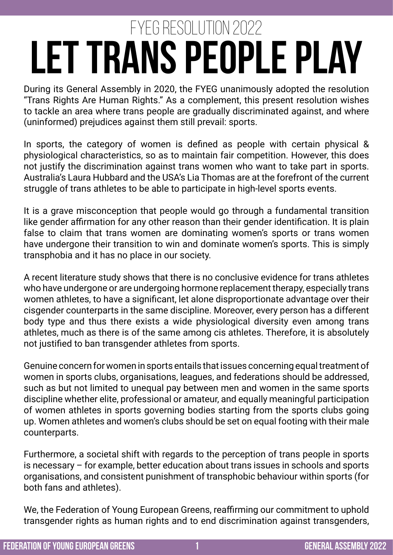## **Let Trans People Play** FYEG Resolution 2022

During its General Assembly in 2020, the FYEG unanimously adopted the resolution "Trans Rights Are Human Rights." As a complement, this present resolution wishes to tackle an area where trans people are gradually discriminated against, and where (uninformed) prejudices against them still prevail: sports.

In sports, the category of women is defined as people with certain physical & physiological characteristics, so as to maintain fair competition. However, this does not justify the discrimination against trans women who want to take part in sports. Australia's Laura Hubbard and the USA's Lia Thomas are at the forefront of the current struggle of trans athletes to be able to participate in high-level sports events.

It is a grave misconception that people would go through a fundamental transition like gender affirmation for any other reason than their gender identification. It is plain false to claim that trans women are dominating women's sports or trans women have undergone their transition to win and dominate women's sports. This is simply transphobia and it has no place in our society.

A recent literature study shows that there is no conclusive evidence for trans athletes who have undergone or are undergoing hormone replacement therapy, especially trans women athletes, to have a significant, let alone disproportionate advantage over their cisgender counterparts in the same discipline. Moreover, every person has a different body type and thus there exists a wide physiological diversity even among trans athletes, much as there is of the same among cis athletes. Therefore, it is absolutely not justified to ban transgender athletes from sports.

Genuine concern for women in sports entails that issues concerning equal treatment of women in sports clubs, organisations, leagues, and federations should be addressed, such as but not limited to unequal pay between men and women in the same sports discipline whether elite, professional or amateur, and equally meaningful participation of women athletes in sports governing bodies starting from the sports clubs going up. Women athletes and women's clubs should be set on equal footing with their male counterparts.

Furthermore, a societal shift with regards to the perception of trans people in sports is necessary – for example, better education about trans issues in schools and sports organisations, and consistent punishment of transphobic behaviour within sports (for both fans and athletes).

We, the Federation of Young European Greens, reaffirming our commitment to uphold transgender rights as human rights and to end discrimination against transgenders,